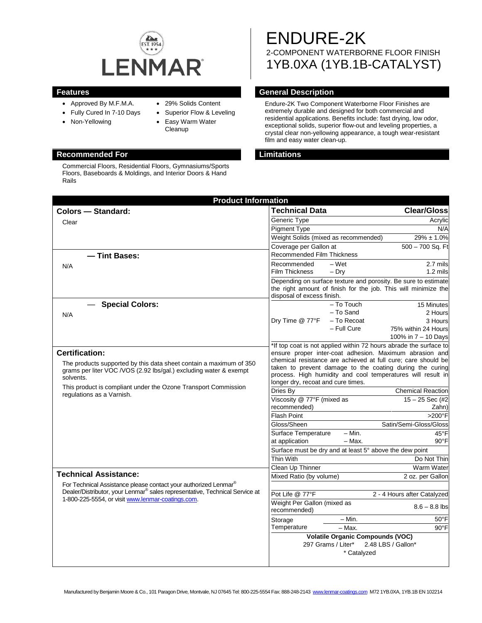

- Approved By M.F.M.A.
- Fully Cured In 7-10 Days
- Non-Yellowing
- 29% Solids Content
- - Superior Flow & Leveling • Easy Warm Water
		- **Cleanup**

#### **Recommended For Limitations**

Commercial Floors, Residential Floors, Gymnasiums/Sports Floors, Baseboards & Moldings, and Interior Doors & Hand Rails

# ENDURE-2K 2-COMPONENT WATERBORNE FLOOR FINISH 1YB.0XA (1YB.1B-CATALYST)

# **Features General Description**

Endure-2K Two Component Waterborne Floor Finishes are extremely durable and designed for both commercial and residential applications. Benefits include: fast drying, low odor, exceptional solids, superior flow-out and leveling properties, a crystal clear non-yellowing appearance, a tough wear-resistant film and easy water clean-up.

| <b>Product Information</b>                                                                                                                                 |                                                                                                                                                                                                       |                                         |
|------------------------------------------------------------------------------------------------------------------------------------------------------------|-------------------------------------------------------------------------------------------------------------------------------------------------------------------------------------------------------|-----------------------------------------|
| <b>Colors - Standard:</b>                                                                                                                                  | <b>Technical Data</b>                                                                                                                                                                                 | <b>Clear/Gloss</b>                      |
| Clear                                                                                                                                                      | Generic Type                                                                                                                                                                                          | Acrylic                                 |
|                                                                                                                                                            | <b>Pigment Type</b>                                                                                                                                                                                   | N/A                                     |
|                                                                                                                                                            | Weight Solids (mixed as recommended)                                                                                                                                                                  | $\frac{1}{29\%}$ ± 1.0%                 |
|                                                                                                                                                            | Coverage per Gallon at                                                                                                                                                                                | $500 - 700$ Sq. Ft                      |
| - Tint Bases:                                                                                                                                              | <b>Recommended Film Thickness</b>                                                                                                                                                                     |                                         |
| N/A                                                                                                                                                        | $-$ Wet<br>Recommended                                                                                                                                                                                | 2.7 mils                                |
|                                                                                                                                                            | Film Thickness<br>$-$ Dry                                                                                                                                                                             | 1.2 mils                                |
|                                                                                                                                                            | Depending on surface texture and porosity. Be sure to estimate<br>the right amount of finish for the job. This will minimize the<br>disposal of excess finish.                                        |                                         |
| <b>Special Colors:</b>                                                                                                                                     |                                                                                                                                                                                                       | - To Touch<br>15 Minutes                |
| N/A                                                                                                                                                        |                                                                                                                                                                                                       | - To Sand<br>2 Hours                    |
|                                                                                                                                                            | Dry Time @ 77°F                                                                                                                                                                                       | - To Recoat<br>3 Hours                  |
|                                                                                                                                                            |                                                                                                                                                                                                       | - Full Cure<br>75% within 24 Hours      |
|                                                                                                                                                            |                                                                                                                                                                                                       | 100% in 7 - 10 Days                     |
| <b>Certification:</b>                                                                                                                                      | *If top coat is not applied within 72 hours abrade the surface to<br>ensure proper inter-coat adhesion. Maximum abrasion and                                                                          |                                         |
| The products supported by this data sheet contain a maximum of 350                                                                                         | chemical resistance are achieved at full cure; care should be                                                                                                                                         |                                         |
| grams per liter VOC /VOS (2.92 lbs/gal.) excluding water & exempt                                                                                          | taken to prevent damage to the coating during the curing<br>process. High humidity and cool temperatures will result in<br>longer dry, recoat and cure times.<br>Dries By<br><b>Chemical Reaction</b> |                                         |
| solvents.                                                                                                                                                  |                                                                                                                                                                                                       |                                         |
| This product is compliant under the Ozone Transport Commission                                                                                             |                                                                                                                                                                                                       |                                         |
| regulations as a Varnish.                                                                                                                                  | Viscosity @ 77°F (mixed as                                                                                                                                                                            | $15 - 25$ Sec (#2)                      |
|                                                                                                                                                            | recommended)                                                                                                                                                                                          | Zahn)                                   |
|                                                                                                                                                            | <b>Flash Point</b>                                                                                                                                                                                    | >200°F                                  |
|                                                                                                                                                            | Gloss/Sheen                                                                                                                                                                                           | Satin/Semi-Gloss/Gloss                  |
|                                                                                                                                                            | Surface Temperature                                                                                                                                                                                   | $- Min.$<br>45°F                        |
|                                                                                                                                                            | at application                                                                                                                                                                                        | $90^{\circ}$ F<br>$-$ Max.              |
|                                                                                                                                                            | Surface must be dry and at least 5° above the dew point                                                                                                                                               |                                         |
|                                                                                                                                                            | Thin With                                                                                                                                                                                             | Do Not Thin                             |
| <b>Technical Assistance:</b>                                                                                                                               | Clean Up Thinner                                                                                                                                                                                      | Warm Water                              |
|                                                                                                                                                            | Mixed Ratio (by volume)                                                                                                                                                                               | 2 oz. per Gallon                        |
| For Technical Assistance please contact your authorized Lenmar®<br>Dealer/Distributor, your Lenmar <sup>®</sup> sales representative, Technical Service at |                                                                                                                                                                                                       |                                         |
| 1-800-225-5554, or visit www.lenmar-coatings.com.                                                                                                          | Pot Life @ 77°F                                                                                                                                                                                       | 2 - 4 Hours after Catalyzed             |
|                                                                                                                                                            | Weight Per Gallon (mixed as<br>recommended)                                                                                                                                                           | $8.6 - 8.8$ lbs                         |
|                                                                                                                                                            |                                                                                                                                                                                                       | $-$ Min.<br>$50^{\circ}$ F              |
|                                                                                                                                                            | Storage<br>Temperature                                                                                                                                                                                | $-$ Max.<br>$90^{\circ}$ F              |
|                                                                                                                                                            |                                                                                                                                                                                                       | <b>Volatile Organic Compounds (VOC)</b> |
|                                                                                                                                                            | 297 Grams / Liter*<br>2.48 LBS / Gallon*<br>* Catalyzed                                                                                                                                               |                                         |
|                                                                                                                                                            |                                                                                                                                                                                                       |                                         |
|                                                                                                                                                            |                                                                                                                                                                                                       |                                         |